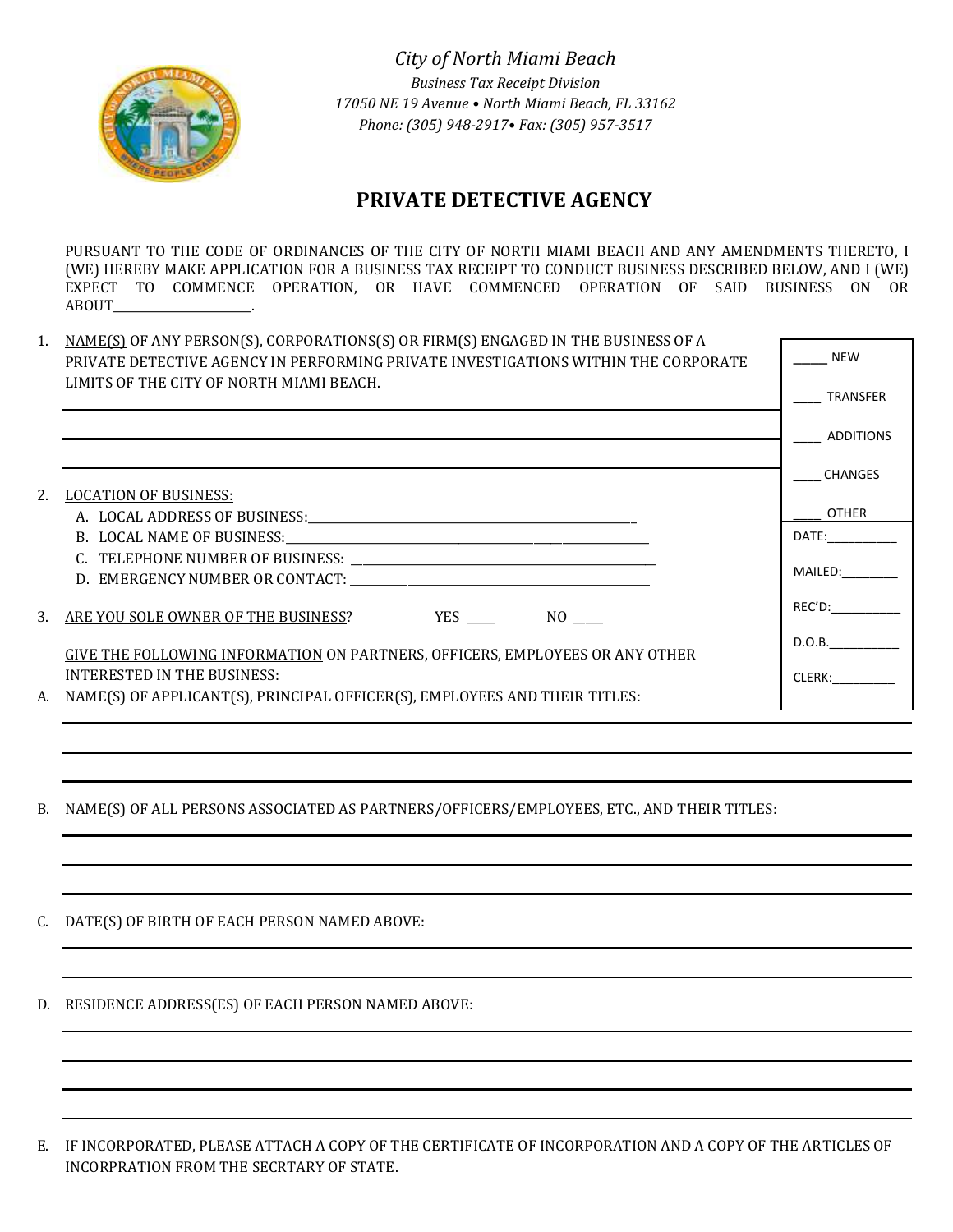

 *City of North Miami Beach Business Tax Receipt Division 17050 NE 19 Avenue • North Miami Beach, FL 33162 Phone: (305) 948-2917• Fax: (305) 957-3517*

# **PRIVATE DETECTIVE AGENCY**

PURSUANT TO THE CODE OF ORDINANCES OF THE CITY OF NORTH MIAMI BEACH AND ANY AMENDMENTS THERETO, I (WE) HEREBY MAKE APPLICATION FOR A BUSINESS TAX RECEIPT TO CONDUCT BUSINESS DESCRIBED BELOW, AND I (WE) EXPECT TO COMMENCE OPERATION, OR HAVE COMMENCED OPERATION OF SAID BUSINESS ON OR ABOUT\_\_\_\_\_\_\_\_\_\_\_\_\_\_\_\_\_\_\_\_\_\_\_\_.

| <b>NEW</b><br>PRIVATE DETECTIVE AGENCY IN PERFORMING PRIVATE INVESTIGATIONS WITHIN THE CORPORATE<br>LIMITS OF THE CITY OF NORTH MIAMI BEACH.<br><b>TRANSFER</b><br>ADDITIONS<br><b>CHANGES</b><br><b>LOCATION OF BUSINESS:</b><br>OTHER<br>DATE: and the state of the state of the state of the state of the state of the state of the state of the state of the state of the state of the state of the state of the state of the state of the state of the state of the<br>MAILED:<br>$REC'D$ :<br>D.O.B.<br>GIVE THE FOLLOWING INFORMATION ON PARTNERS, OFFICERS, EMPLOYEES OR ANY OTHER<br>INTERESTED IN THE BUSINESS:<br>CLERK: <b>Album</b> | 1. | NAME(S) OF ANY PERSON(S), CORPORATIONS(S) OR FIRM(S) ENGAGED IN THE BUSINESS OF A |  |
|--------------------------------------------------------------------------------------------------------------------------------------------------------------------------------------------------------------------------------------------------------------------------------------------------------------------------------------------------------------------------------------------------------------------------------------------------------------------------------------------------------------------------------------------------------------------------------------------------------------------------------------------------|----|-----------------------------------------------------------------------------------|--|
| 2.<br>3. ARE YOU SOLE OWNER OF THE BUSINESS? YES THE HIST ARE YOU SOLE OWNER OF THE BUSINESS?<br>A. NAME(S) OF APPLICANT(S), PRINCIPAL OFFICER(S), EMPLOYEES AND THEIR TITLES:                                                                                                                                                                                                                                                                                                                                                                                                                                                                   |    |                                                                                   |  |
|                                                                                                                                                                                                                                                                                                                                                                                                                                                                                                                                                                                                                                                  |    |                                                                                   |  |
|                                                                                                                                                                                                                                                                                                                                                                                                                                                                                                                                                                                                                                                  |    |                                                                                   |  |
|                                                                                                                                                                                                                                                                                                                                                                                                                                                                                                                                                                                                                                                  |    |                                                                                   |  |
|                                                                                                                                                                                                                                                                                                                                                                                                                                                                                                                                                                                                                                                  |    |                                                                                   |  |
|                                                                                                                                                                                                                                                                                                                                                                                                                                                                                                                                                                                                                                                  |    |                                                                                   |  |
|                                                                                                                                                                                                                                                                                                                                                                                                                                                                                                                                                                                                                                                  |    |                                                                                   |  |
|                                                                                                                                                                                                                                                                                                                                                                                                                                                                                                                                                                                                                                                  |    |                                                                                   |  |
|                                                                                                                                                                                                                                                                                                                                                                                                                                                                                                                                                                                                                                                  |    |                                                                                   |  |
|                                                                                                                                                                                                                                                                                                                                                                                                                                                                                                                                                                                                                                                  |    |                                                                                   |  |
|                                                                                                                                                                                                                                                                                                                                                                                                                                                                                                                                                                                                                                                  |    |                                                                                   |  |
|                                                                                                                                                                                                                                                                                                                                                                                                                                                                                                                                                                                                                                                  |    |                                                                                   |  |
|                                                                                                                                                                                                                                                                                                                                                                                                                                                                                                                                                                                                                                                  |    |                                                                                   |  |
|                                                                                                                                                                                                                                                                                                                                                                                                                                                                                                                                                                                                                                                  |    |                                                                                   |  |

B. NAME(S) OF ALL PERSONS ASSOCIATED AS PARTNERS/OFFICERS/EMPLOYEES, ETC., AND THEIR TITLES:

C. DATE(S) OF BIRTH OF EACH PERSON NAMED ABOVE:

D. RESIDENCE ADDRESS(ES) OF EACH PERSON NAMED ABOVE:

E. IF INCORPORATED, PLEASE ATTACH A COPY OF THE CERTIFICATE OF INCORPORATION AND A COPY OF THE ARTICLES OF INCORPRATION FROM THE SECRTARY OF STATE.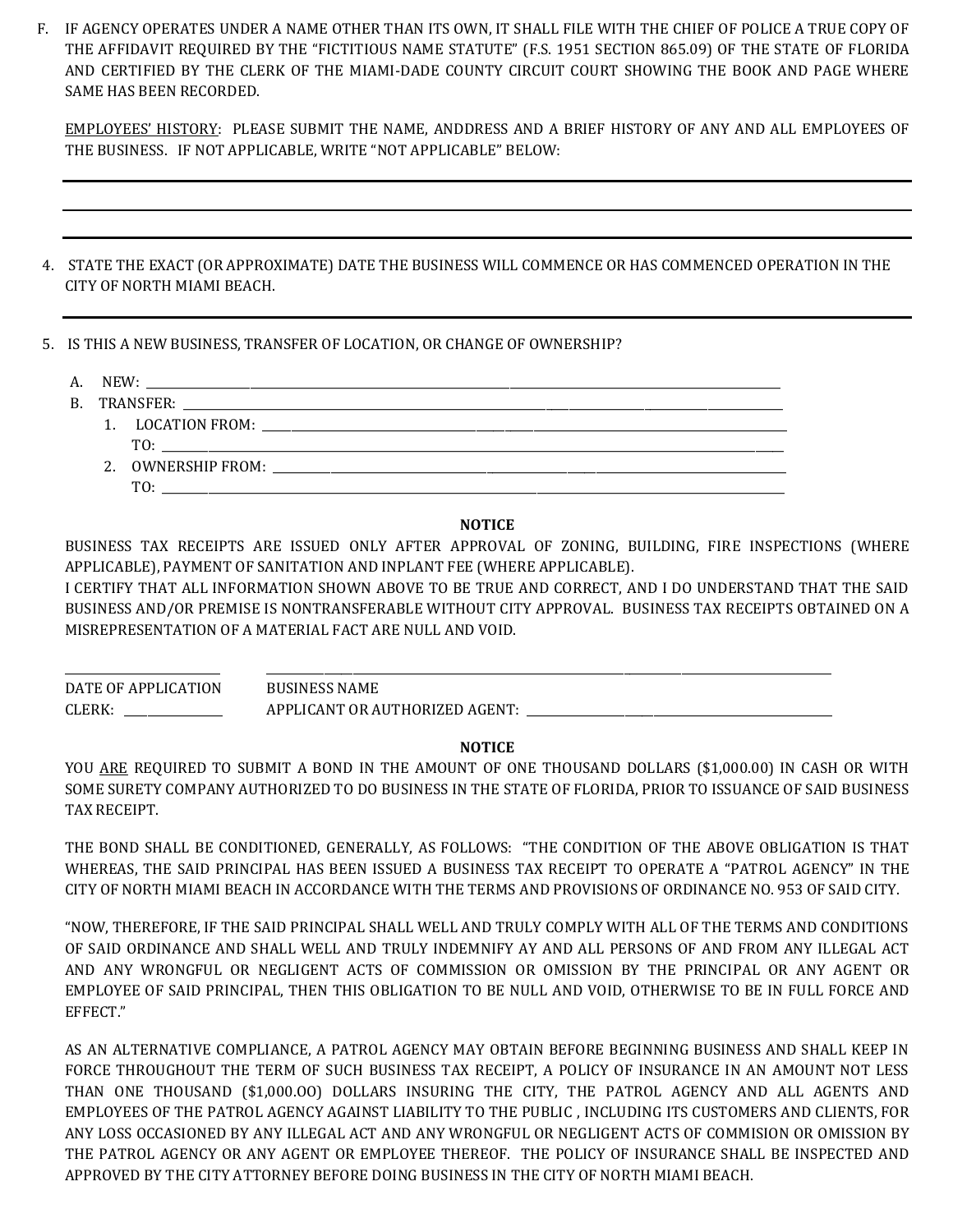F. IF AGENCY OPERATES UNDER A NAME OTHER THAN ITS OWN, IT SHALL FILE WITH THE CHIEF OF POLICE A TRUE COPY OF THE AFFIDAVIT REQUIRED BY THE "FICTITIOUS NAME STATUTE" (F.S. 1951 SECTION 865.09) OF THE STATE OF FLORIDA AND CERTIFIED BY THE CLERK OF THE MIAMI-DADE COUNTY CIRCUIT COURT SHOWING THE BOOK AND PAGE WHERE SAME HAS BEEN RECORDED.

EMPLOYEES' HISTORY: PLEASE SUBMIT THE NAME, ANDDRESS AND A BRIEF HISTORY OF ANY AND ALL EMPLOYEES OF THE BUSINESS. IF NOT APPLICABLE, WRITE "NOT APPLICABLE" BELOW:

- 4. STATE THE EXACT (OR APPROXIMATE) DATE THE BUSINESS WILL COMMENCE OR HAS COMMENCED OPERATION IN THE CITY OF NORTH MIAMI BEACH.
- 5. IS THIS A NEW BUSINESS, TRANSFER OF LOCATION, OR CHANGE OF OWNERSHIP?
	- A. NEW: \_\_\_\_\_\_\_\_\_\_\_\_\_\_\_\_\_\_\_\_\_\_\_\_\_\_\_\_\_\_\_\_\_\_\_\_\_\_\_\_\_\_\_\_\_\_\_\_\_\_\_\_\_\_\_\_\_\_\_\_\_\_\_\_\_\_\_\_\_\_\_\_\_\_\_\_\_\_\_\_\_\_\_\_\_\_\_\_\_\_\_\_\_\_\_\_\_\_\_\_\_\_\_\_\_\_\_\_\_\_
	- B. TRANSFER:
		- 1. LOCATION FROM: \_\_\_\_\_\_\_\_\_\_\_\_\_\_\_\_\_\_\_\_\_\_\_\_\_\_\_\_\_\_\_\_\_\_\_\_\_\_\_\_\_\_\_\_\_\_\_\_\_\_\_\_\_\_\_\_\_\_\_\_\_\_\_\_\_\_\_\_\_\_\_\_\_\_\_\_\_\_\_\_\_\_\_\_\_\_\_\_\_\_\_ TO: \_\_\_\_\_\_\_\_\_\_\_\_\_\_\_\_\_\_\_\_\_\_\_\_\_\_\_\_\_\_\_\_\_\_\_\_\_\_\_\_\_\_\_\_\_\_\_\_\_\_\_\_\_\_\_\_\_\_\_\_\_\_\_\_\_\_\_\_\_\_\_\_\_\_\_\_\_\_\_\_\_\_\_\_\_\_\_\_\_\_\_\_\_\_\_\_\_\_\_\_\_\_\_\_\_\_\_\_ 2. OWNERSHIP FROM:
			- $TO:$

# **NOTICE**

BUSINESS TAX RECEIPTS ARE ISSUED ONLY AFTER APPROVAL OF ZONING, BUILDING, FIRE INSPECTIONS (WHERE APPLICABLE), PAYMENT OF SANITATION AND INPLANT FEE (WHERE APPLICABLE).

I CERTIFY THAT ALL INFORMATION SHOWN ABOVE TO BE TRUE AND CORRECT, AND I DO UNDERSTAND THAT THE SAID BUSINESS AND/OR PREMISE IS NONTRANSFERABLE WITHOUT CITY APPROVAL. BUSINESS TAX RECEIPTS OBTAINED ON A MISREPRESENTATION OF A MATERIAL FACT ARE NULL AND VOID.

\_\_\_\_\_\_\_\_\_\_\_\_\_\_\_\_\_\_\_\_\_\_\_\_\_\_\_ \_\_\_\_\_\_\_\_\_\_\_\_\_\_\_\_\_\_\_\_\_\_\_\_\_\_\_\_\_\_\_\_\_\_\_\_\_\_\_\_\_\_\_\_\_\_\_\_\_\_\_\_\_\_\_\_\_\_\_\_\_\_\_\_\_\_\_\_\_\_\_\_\_\_\_\_\_\_\_\_\_\_\_\_\_\_\_\_\_\_\_\_\_\_\_\_\_\_ DATE OF APPLICATION BUSINESS NAME CLERK: \_\_\_\_\_\_\_\_\_\_\_\_\_\_\_\_\_\_\_\_\_\_\_ APPLICANT OR AUTHORIZED AGENT: \_\_\_\_\_\_\_\_\_\_\_\_\_\_\_\_\_\_

#### **NOTICE**

YOU ARE REQUIRED TO SUBMIT A BOND IN THE AMOUNT OF ONE THOUSAND DOLLARS (\$1,000.00) IN CASH OR WITH SOME SURETY COMPANY AUTHORIZED TO DO BUSINESS IN THE STATE OF FLORIDA, PRIOR TO ISSUANCE OF SAID BUSINESS TAX RECEIPT.

THE BOND SHALL BE CONDITIONED, GENERALLY, AS FOLLOWS: "THE CONDITION OF THE ABOVE OBLIGATION IS THAT WHEREAS, THE SAID PRINCIPAL HAS BEEN ISSUED A BUSINESS TAX RECEIPT TO OPERATE A "PATROL AGENCY" IN THE CITY OF NORTH MIAMI BEACH IN ACCORDANCE WITH THE TERMS AND PROVISIONS OF ORDINANCE NO. 953 OF SAID CITY.

"NOW, THEREFORE, IF THE SAID PRINCIPAL SHALL WELL AND TRULY COMPLY WITH ALL OF THE TERMS AND CONDITIONS OF SAID ORDINANCE AND SHALL WELL AND TRULY INDEMNIFY AY AND ALL PERSONS OF AND FROM ANY ILLEGAL ACT AND ANY WRONGFUL OR NEGLIGENT ACTS OF COMMISSION OR OMISSION BY THE PRINCIPAL OR ANY AGENT OR EMPLOYEE OF SAID PRINCIPAL, THEN THIS OBLIGATION TO BE NULL AND VOID, OTHERWISE TO BE IN FULL FORCE AND EFFECT."

AS AN ALTERNATIVE COMPLIANCE, A PATROL AGENCY MAY OBTAIN BEFORE BEGINNING BUSINESS AND SHALL KEEP IN FORCE THROUGHOUT THE TERM OF SUCH BUSINESS TAX RECEIPT, A POLICY OF INSURANCE IN AN AMOUNT NOT LESS THAN ONE THOUSAND (\$1,000.OO) DOLLARS INSURING THE CITY, THE PATROL AGENCY AND ALL AGENTS AND EMPLOYEES OF THE PATROL AGENCY AGAINST LIABILITY TO THE PUBLIC , INCLUDING ITS CUSTOMERS AND CLIENTS, FOR ANY LOSS OCCASIONED BY ANY ILLEGAL ACT AND ANY WRONGFUL OR NEGLIGENT ACTS OF COMMISION OR OMISSION BY THE PATROL AGENCY OR ANY AGENT OR EMPLOYEE THEREOF. THE POLICY OF INSURANCE SHALL BE INSPECTED AND APPROVED BY THE CITY ATTORNEY BEFORE DOING BUSINESS IN THE CITY OF NORTH MIAMI BEACH.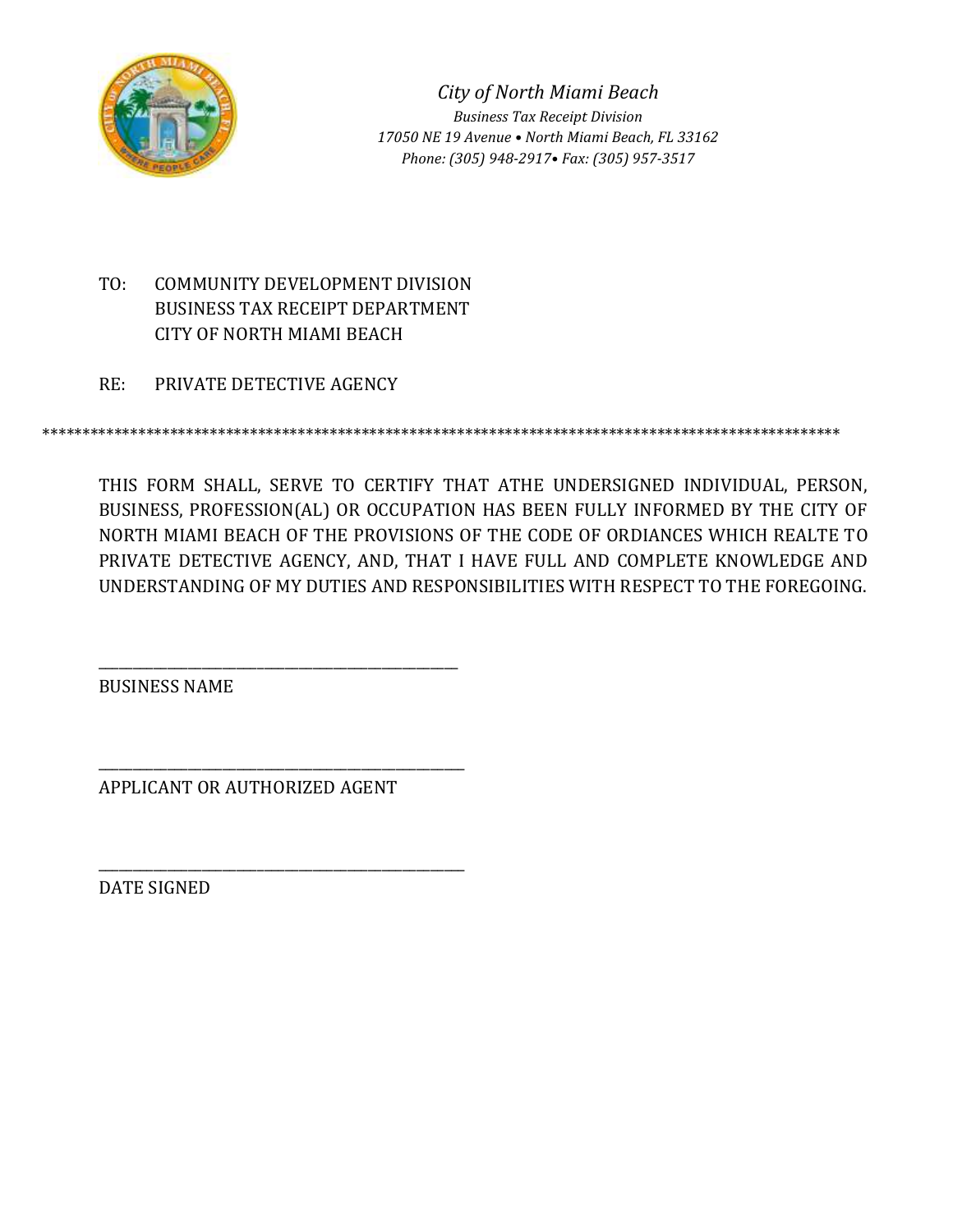

*City of North Miami Beach Business Tax Receipt Division 17050 NE 19 Avenue • North Miami Beach, FL 33162 Phone: (305) 948-2917• Fax: (305) 957-3517*

- TO: COMMUNITY DEVELOPMENT DIVISION BUSINESS TAX RECEIPT DEPARTMENT CITY OF NORTH MIAMI BEACH
- RE: PRIVATE DETECTIVE AGENCY

\*\*\*\*\*\*\*\*\*\*\*\*\*\*\*\*\*\*\*\*\*\*\*\*\*\*\*\*\*\*\*\*\*\*\*\*\*\*\*\*\*\*\*\*\*\*\*\*\*\*\*\*\*\*\*\*\*\*\*\*\*\*\*\*\*\*\*\*\*\*\*\*\*\*\*\*\*\*\*\*\*\*\*\*\*\*\*\*\*\*\*\*\*\*\*\*\*\*\*\*

THIS FORM SHALL, SERVE TO CERTIFY THAT ATHE UNDERSIGNED INDIVIDUAL, PERSON, BUSINESS, PROFESSION(AL) OR OCCUPATION HAS BEEN FULLY INFORMED BY THE CITY OF NORTH MIAMI BEACH OF THE PROVISIONS OF THE CODE OF ORDIANCES WHICH REALTE TO PRIVATE DETECTIVE AGENCY, AND, THAT I HAVE FULL AND COMPLETE KNOWLEDGE AND UNDERSTANDING OF MY DUTIES AND RESPONSIBILITIES WITH RESPECT TO THE FOREGOING.

BUSINESS NAME

APPLICANT OR AUTHORIZED AGENT

\_\_\_\_\_\_\_\_\_\_\_\_\_\_\_\_\_\_\_\_\_\_\_\_\_\_\_\_\_\_\_\_\_\_\_\_\_\_\_\_\_\_\_\_\_\_\_\_\_\_\_\_

\_\_\_\_\_\_\_\_\_\_\_\_\_\_\_\_\_\_\_\_\_\_\_\_\_\_\_\_\_\_\_\_\_\_\_\_\_\_\_\_\_\_\_\_\_\_\_\_\_\_\_\_\_

\_\_\_\_\_\_\_\_\_\_\_\_\_\_\_\_\_\_\_\_\_\_\_\_\_\_\_\_\_\_\_\_\_\_\_\_\_\_\_\_\_\_\_\_\_\_\_\_\_\_\_\_\_

DATE SIGNED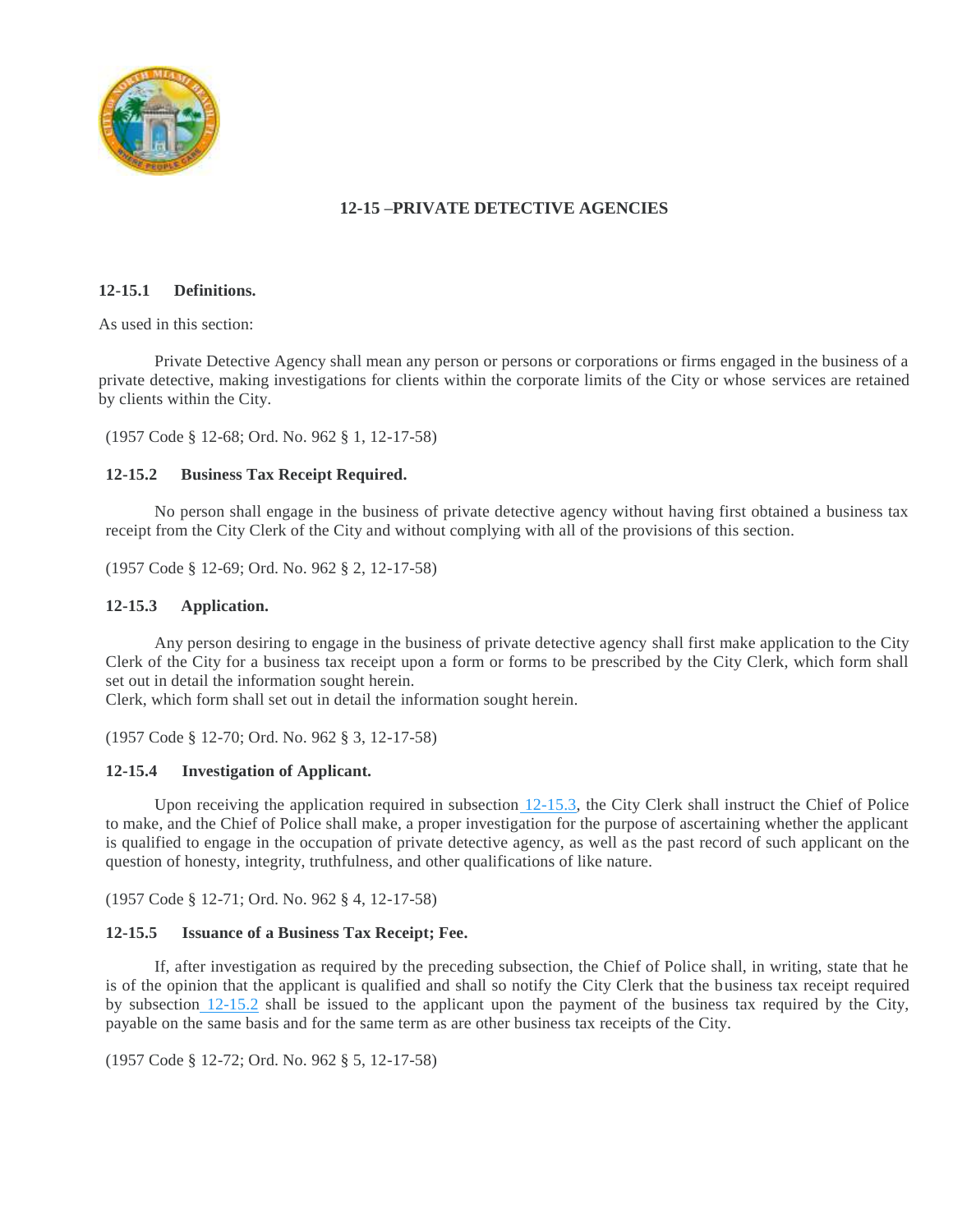

# **12-15 –PRIVATE DETECTIVE AGENCIES**

# **12-15.1 Definitions.**

As used in this section:

Private Detective Agency shall mean any person or persons or corporations or firms engaged in the business of a private detective, making investigations for clients within the corporate limits of the City or whose services are retained by clients within the City.

(1957 Code § 12-68; Ord. No. 962 § 1, 12-17-58)

# **12-15.2 Business Tax Receipt Required.**

No person shall engage in the business of private detective agency without having first obtained a business tax receipt from the City Clerk of the City and without complying with all of the provisions of this section.

(1957 Code § 12-69; Ord. No. 962 § 2, 12-17-58)

# **12-15.3 Application.**

Any person desiring to engage in the business of private detective agency shall first make application to the City Clerk of the City for a business tax receipt upon a form or forms to be prescribed by the City Clerk, which form shall set out in detail the information sought herein.

Clerk, which form shall set out in detail the information sought herein.

(1957 Code § 12-70; Ord. No. 962 § 3, 12-17-58)

# **12-15.4 Investigation of Applicant.**

Upon receiving the application required in subsection  $12-15.3$ , the City Clerk shall instruct the Chief of Police to make, and the Chief of Police shall make, a proper investigation for the purpose of ascertaining whether the applicant is qualified to engage in the occupation of private detective agency, as well as the past record of such applicant on the question of honesty, integrity, truthfulness, and other qualifications of like nature.

(1957 Code § 12-71; Ord. No. 962 § 4, 12-17-58)

# **12-15.5 Issuance of a Business Tax Receipt; Fee.**

If, after investigation as required by the preceding subsection, the Chief of Police shall, in writing, state that he is of the opinion that the applicant is qualified and shall so notify the City Clerk that the business tax receipt required by subsection [12-15.2](https://library.municode.com/fl/north_miami_beach/codes/code_of_ordinances?nodeId=PTIICOOR_CHXIILOBUTARERE_ARTIIICOSPBUTARE_12-15PRDEAG_12-15.2BUTARERE) shall be issued to the applicant upon the payment of the business tax required by the City, payable on the same basis and for the same term as are other business tax receipts of the City.

(1957 Code § 12-72; Ord. No. 962 § 5, 12-17-58)